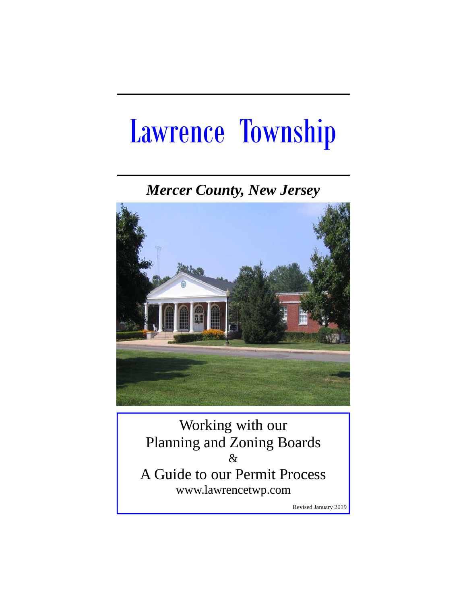# Lawrence Township

*Mercer County, New Jersey* 



Working with our Planning and Zoning Boards & A Guide to our Permit Process www.lawrencetwp.com

Revised January 2019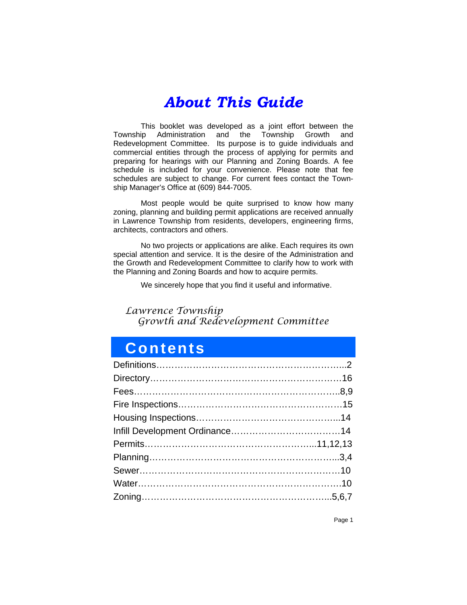# *About This Guide*

This booklet was developed as a joint effort between the<br>ip Administration and the Township Growth and Township Administration and the Township Growth and Redevelopment Committee. Its purpose is to guide individuals and commercial entities through the process of applying for permits and preparing for hearings with our Planning and Zoning Boards. A fee schedule is included for your convenience. Please note that fee schedules are subject to change. For current fees contact the Township Manager's Office at (609) 844-7005.

 Most people would be quite surprised to know how many zoning, planning and building permit applications are received annually in Lawrence Township from residents, developers, engineering firms, architects, contractors and others.

 No two projects or applications are alike. Each requires its own special attention and service. It is the desire of the Administration and the Growth and Redevelopment Committee to clarify how to work with the Planning and Zoning Boards and how to acquire permits.

We sincerely hope that you find it useful and informative.

### *Lawrence Township Growth and Redevelopment Committee*

### **Contents**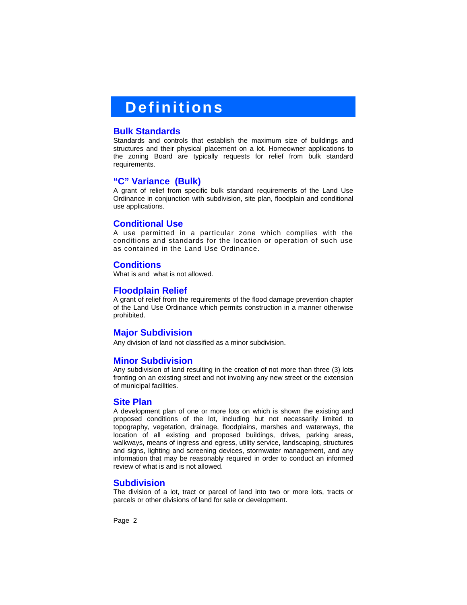### **Definitions**

### **Bulk Standards**

Standards and controls that establish the maximum size of buildings and structures and their physical placement on a lot. Homeowner applications to the zoning Board are typically requests for relief from bulk standard requirements.

### **"C" Variance (Bulk)**

A grant of relief from specific bulk standard requirements of the Land Use Ordinance in conjunction with subdivision, site plan, floodplain and conditional use applications.

### **Conditional Use**

A use permitted in a particular zone which complies with the conditions and standards for the location or operation of such use as contained in the Land Use Ordinance.

### **Conditions**

What is and what is not allowed.

#### **Floodplain Relief**

A grant of relief from the requirements of the flood damage prevention chapter of the Land Use Ordinance which permits construction in a manner otherwise prohibited.

### **Major Subdivision**

Any division of land not classified as a minor subdivision.

### **Minor Subdivision**

Any subdivision of land resulting in the creation of not more than three (3) lots fronting on an existing street and not involving any new street or the extension of municipal facilities.

#### **Site Plan**

A development plan of one or more lots on which is shown the existing and proposed conditions of the lot, including but not necessarily limited to topography, vegetation, drainage, floodplains, marshes and waterways, the location of all existing and proposed buildings, drives, parking areas, walkways, means of ingress and egress, utility service, landscaping, structures and signs, lighting and screening devices, stormwater management, and any information that may be reasonably required in order to conduct an informed review of what is and is not allowed.

#### **Subdivision**

The division of a lot, tract or parcel of land into two or more lots, tracts or parcels or other divisions of land for sale or development.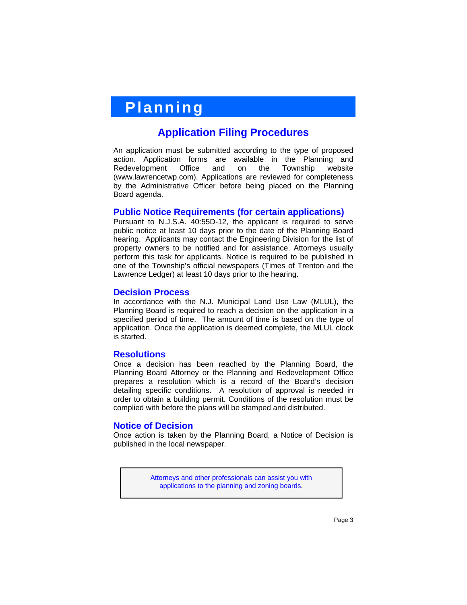# **Planning**

### **Application Filing Procedures**

An application must be submitted according to the type of proposed action. Application forms are available in the Planning and Redevelopment Office and on the Township website (www.lawrencetwp.com). Applications are reviewed for completeness by the Administrative Officer before being placed on the Planning Board agenda.

### **Public Notice Requirements (for certain applications)**

Pursuant to N.J.S.A. 40:55D-12, the applicant is required to serve public notice at least 10 days prior to the date of the Planning Board hearing. Applicants may contact the Engineering Division for the list of property owners to be notified and for assistance. Attorneys usually perform this task for applicants. Notice is required to be published in one of the Township's official newspapers (Times of Trenton and the Lawrence Ledger) at least 10 days prior to the hearing.

### **Decision Process**

In accordance with the N.J. Municipal Land Use Law (MLUL), the Planning Board is required to reach a decision on the application in a specified period of time. The amount of time is based on the type of application. Once the application is deemed complete, the MLUL clock is started.

### **Resolutions**

Once a decision has been reached by the Planning Board, the Planning Board Attorney or the Planning and Redevelopment Office prepares a resolution which is a record of the Board's decision detailing specific conditions. A resolution of approval is needed in order to obtain a building permit. Conditions of the resolution must be complied with before the plans will be stamped and distributed.

### **Notice of Decision**

Once action is taken by the Planning Board, a Notice of Decision is published in the local newspaper.

> Attorneys and other professionals can assist you with applications to the planning and zoning boards.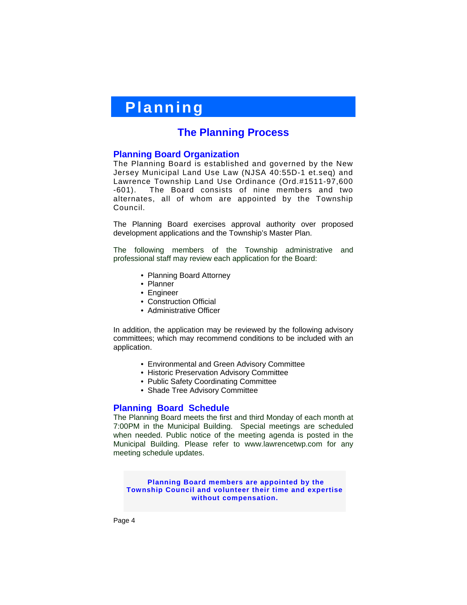# **Planning**

### **The Planning Process**

### **Planning Board Organization**

The Planning Board is established and governed by the New Jersey Municipal Land Use Law (NJSA 40:55D-1 et.seq) and Lawrence Township Land Use Ordinance (Ord.#1511-97,600 -601). The Board consists of nine members and two alternates, all of whom are appointed by the Township Council.

The Planning Board exercises approval authority over proposed development applications and the Township's Master Plan.

The following members of the Township administrative and professional staff may review each application for the Board:

- Planning Board Attorney
- Planner
- Engineer
- Construction Official
- Administrative Officer

In addition, the application may be reviewed by the following advisory committees; which may recommend conditions to be included with an application.

- Environmental and Green Advisory Committee
- Historic Preservation Advisory Committee
- Public Safety Coordinating Committee
- Shade Tree Advisory Committee

### **Planning Board Schedule**

The Planning Board meets the first and third Monday of each month at 7:00PM in the Municipal Building. Special meetings are scheduled when needed. Public notice of the meeting agenda is posted in the Municipal Building. Please refer to www.lawrencetwp.com for any meeting schedule updates.

**Planning Board members are appointed by the Township Council and volunteer their time and expertise without compensation.**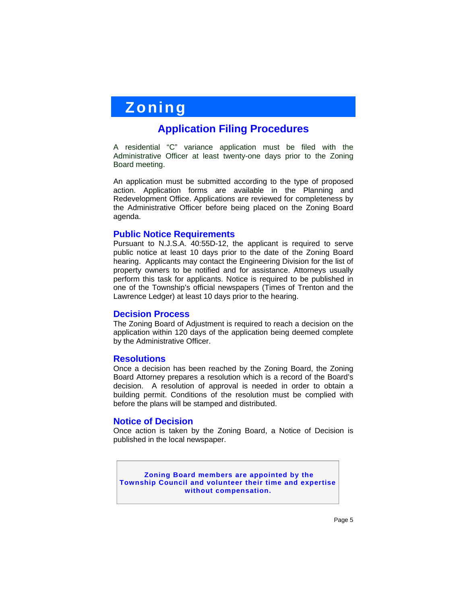# **Zoning**

### **Application Filing Procedures**

A residential "C" variance application must be filed with the Administrative Officer at least twenty-one days prior to the Zoning Board meeting.

An application must be submitted according to the type of proposed action. Application forms are available in the Planning and Redevelopment Office. Applications are reviewed for completeness by the Administrative Officer before being placed on the Zoning Board agenda.

### **Public Notice Requirements**

Pursuant to N.J.S.A. 40:55D-12, the applicant is required to serve public notice at least 10 days prior to the date of the Zoning Board hearing. Applicants may contact the Engineering Division for the list of property owners to be notified and for assistance. Attorneys usually perform this task for applicants. Notice is required to be published in one of the Township's official newspapers (Times of Trenton and the Lawrence Ledger) at least 10 days prior to the hearing.

### **Decision Process**

The Zoning Board of Adjustment is required to reach a decision on the application within 120 days of the application being deemed complete by the Administrative Officer.

### **Resolutions**

Once a decision has been reached by the Zoning Board, the Zoning Board Attorney prepares a resolution which is a record of the Board's decision. A resolution of approval is needed in order to obtain a building permit. Conditions of the resolution must be complied with before the plans will be stamped and distributed.

### **Notice of Decision**

Once action is taken by the Zoning Board, a Notice of Decision is published in the local newspaper.

**Zoning Board members are appointed by the Township Council and volunteer their time and expertise without compensation.**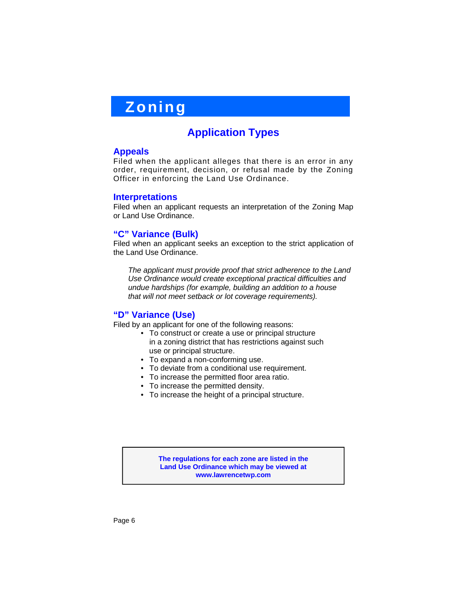# **Zoning**

### **Application Types**

### **Appeals**

Filed when the applicant alleges that there is an error in any order, requirement, decision, or refusal made by the Zoning Officer in enforcing the Land Use Ordinance.

### **Interpretations**

Filed when an applicant requests an interpretation of the Zoning Map or Land Use Ordinance.

### **"C" Variance (Bulk)**

Filed when an applicant seeks an exception to the strict application of the Land Use Ordinance.

 *The applicant must provide proof that strict adherence to the Land Use Ordinance would create exceptional practical difficulties and undue hardships (for example, building an addition to a house that will not meet setback or lot coverage requirements).* 

### **"D" Variance (Use)**

Filed by an applicant for one of the following reasons:

- To construct or create a use or principal structure in a zoning district that has restrictions against such use or principal structure.
- To expand a non-conforming use.
- To deviate from a conditional use requirement.
- To increase the permitted floor area ratio.
- To increase the permitted density.
- To increase the height of a principal structure.

**The regulations for each zone are listed in the Land Use Ordinance which may be viewed at www.lawrencetwp.com**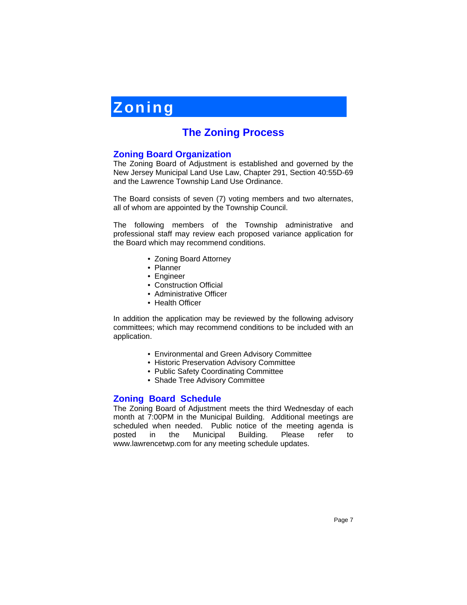# **Zoning**

### **The Zoning Process**

### **Zoning Board Organization**

The Zoning Board of Adjustment is established and governed by the New Jersey Municipal Land Use Law, Chapter 291, Section 40:55D-69 and the Lawrence Township Land Use Ordinance.

The Board consists of seven (7) voting members and two alternates, all of whom are appointed by the Township Council.

The following members of the Township administrative and professional staff may review each proposed variance application for the Board which may recommend conditions.

- Zoning Board Attorney
- Planner
- Engineer
- Construction Official
- Administrative Officer
- Health Officer

In addition the application may be reviewed by the following advisory committees; which may recommend conditions to be included with an application.

- Environmental and Green Advisory Committee
- Historic Preservation Advisory Committee
- Public Safety Coordinating Committee
- Shade Tree Advisory Committee

### **Zoning Board Schedule**

The Zoning Board of Adjustment meets the third Wednesday of each month at 7:00PM in the Municipal Building. Additional meetings are scheduled when needed. Public notice of the meeting agenda is posted in the Municipal Building. Please refer to www.lawrencetwp.com for any meeting schedule updates.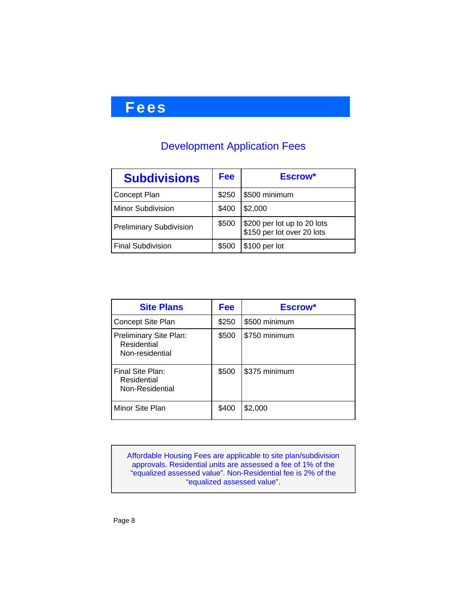# **Fees**

### Development Application Fees

| <b>Subdivisions</b>            | <b>Fee</b> | Escrow*                                                   |
|--------------------------------|------------|-----------------------------------------------------------|
| <b>Concept Plan</b>            | \$250      | \$500 minimum                                             |
| Minor Subdivision              | \$400      | \$2,000                                                   |
| <b>Preliminary Subdivision</b> | \$500      | \$200 per lot up to 20 lots<br>\$150 per lot over 20 lots |
| <b>Final Subdivision</b>       | \$500      | \$100 per lot                                             |

| <b>Site Plans</b>                                        | <b>Fee</b> | Escrow*       |
|----------------------------------------------------------|------------|---------------|
| Concept Site Plan                                        | \$250      | \$500 minimum |
| Preliminary Site Plan:<br>Residential<br>Non-residential | \$500      | \$750 minimum |
| Final Site Plan:<br>Residential<br>Non-Residential       | \$500      | \$375 minimum |
| Minor Site Plan                                          | \$400      | \$2,000       |

Affordable Housing Fees are applicable to site plan/subdivision approvals. Residential units are assessed a fee of 1% of the "equalized assessed value". Non-Residential fee is 2% of the "equalized assessed value".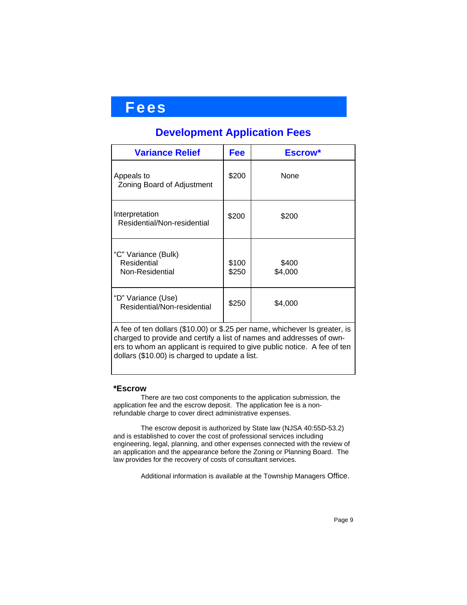### **Fees**

### **Development Application Fees**

| <b>Variance Relief</b>                                                                                                                                                                                                                                                           | Fee            | Escrow*          |  |
|----------------------------------------------------------------------------------------------------------------------------------------------------------------------------------------------------------------------------------------------------------------------------------|----------------|------------------|--|
| Appeals to<br>Zoning Board of Adjustment                                                                                                                                                                                                                                         | \$200          | None             |  |
| Interpretation<br>Residential/Non-residential                                                                                                                                                                                                                                    | \$200          | \$200            |  |
| "C" Variance (Bulk)<br>Residential<br>Non-Residential                                                                                                                                                                                                                            | \$100<br>\$250 | \$400<br>\$4,000 |  |
| "D" Variance (Use)<br>Residential/Non-residential                                                                                                                                                                                                                                | \$250          | \$4,000          |  |
| A fee of ten dollars (\$10.00) or \$.25 per name, whichever Is greater, is<br>charged to provide and certify a list of names and addresses of own-<br>ers to whom an applicant is required to give public notice. A fee of ten<br>dollars (\$10.00) is charged to update a list. |                |                  |  |

### **\*Escrow**

There are two cost components to the application submission, the application fee and the escrow deposit. The application fee is a nonrefundable charge to cover direct administrative expenses.

The escrow deposit is authorized by State law (NJSA 40:55D-53.2) and is established to cover the cost of professional services including engineering, legal, planning, and other expenses connected with the review of an application and the appearance before the Zoning or Planning Board. The law provides for the recovery of costs of consultant services.

Additional information is available at the Township Managers Office.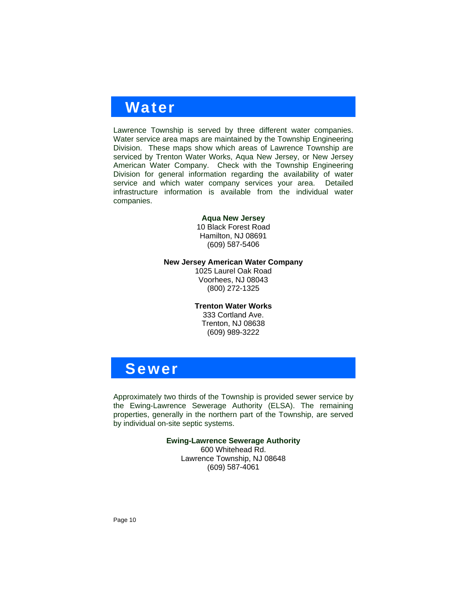### **Water**

Lawrence Township is served by three different water companies. Water service area maps are maintained by the Township Engineering Division. These maps show which areas of Lawrence Township are serviced by Trenton Water Works, Aqua New Jersey, or New Jersey American Water Company. Check with the Township Engineering Division for general information regarding the availability of water service and which water company services your area. Detailed infrastructure information is available from the individual water companies.

#### **Aqua New Jersey**

10 Black Forest Road Hamilton, NJ 08691 (609) 587-5406

**New Jersey American Water Company** 

1025 Laurel Oak Road Voorhees, NJ 08043 (800) 272-1325

### **Trenton Water Works**

333 Cortland Ave. Trenton, NJ 08638 (609) 989-3222

### **Sewer**

Approximately two thirds of the Township is provided sewer service by the Ewing-Lawrence Sewerage Authority (ELSA). The remaining properties, generally in the northern part of the Township, are served by individual on-site septic systems.

**Ewing-Lawrence Sewerage Authority**

600 Whitehead Rd. Lawrence Township, NJ 08648 (609) 587-4061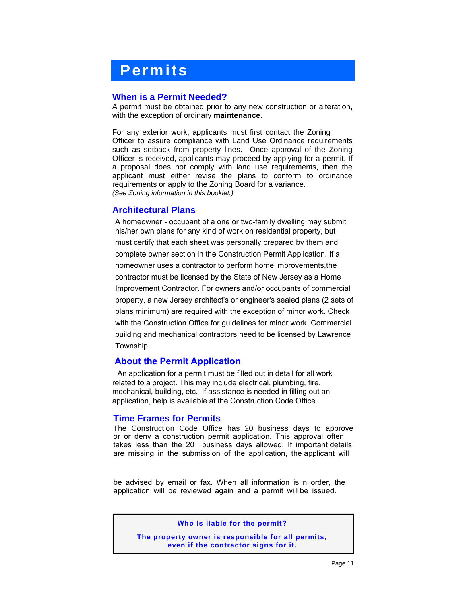# **Permits**

### **When is a Permit Needed?**

A permit must be obtained prior to any new construction or alteration, with the exception of ordinary **maintenance**.

For any exterior work, applicants must first contact the Zoning Officer to assure compliance with Land Use Ordinance requirements such as setback from property lines. Once approval of the Zoning Officer is received, applicants may proceed by applying for a permit. If a proposal does not comply with land use requirements, then the applicant must either revise the plans to conform to ordinance requirements or apply to the Zoning Board for a variance. *(See Zoning information in this booklet.)* 

### **Architectural Plans**

A homeowner - occupant of a one or two-family dwelling may submit his/her own plans for any kind of work on residential property, but must certify that each sheet was personally prepared by them and complete owner section in the Construction Permit Application. If a homeowner uses a contractor to perform home improvements,the contractor must be licensed by the State of New Jersey as a Home Improvement Contractor. For owners and/or occupants of commercial property, a new Jersey architect's or engineer's sealed plans (2 sets of plans minimum) are required with the exception of minor work. Check with the Construction Office for guidelines for minor work. Commercial building and mechanical contractors need to be licensed by Lawrence Township.

### **About the Permit Application**

An application for a permit must be filled out in detail for all work related to a project. This may include electrical, plumbing, fire, mechanical, building, etc. If assistance is needed in filling out an application, help is available at the Construction Code Office.

### **Time Frames for Permits**

The Construction Code Office has 20 business days to approve or or deny a construction permit application. This approval often takes less than the 20 business days allowed. If important details are missing in the submission of the application, the applicant will

be advised by email or fax. When all information is in order, the application will be reviewed again and a permit will be issued.

**Who is liable for the permit?**

**The property owner is responsible for all permits, even if the contractor signs for it.**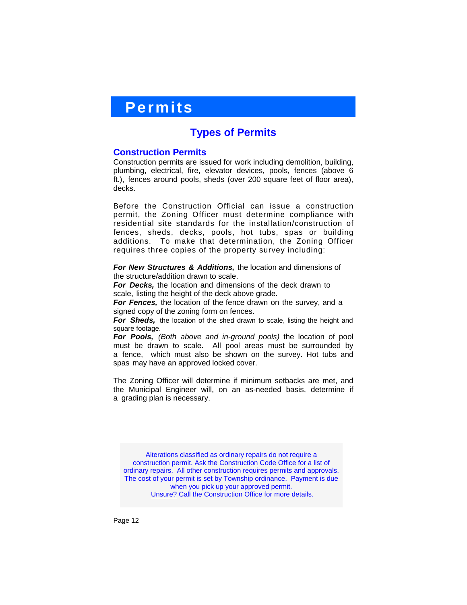### **Permits**

### **Types of Permits**

### **Construction Permits**

Construction permits are issued for work including demolition, building, plumbing, electrical, fire, elevator devices, pools, fences (above 6 ft.), fences around pools, sheds (over 200 square feet of floor area), decks.

Before the Construction Official can issue a construction permit, the Zoning Officer must determine compliance with residential site standards for the installation/construction of fences, sheds, decks, pools, hot tubs, spas or building additions. To make that determination, the Zoning Officer requires three copies of the property survey including:

*For New Structures & Additions,* the location and dimensions of the structure/addition drawn to scale.

*For Decks,* the location and dimensions of the deck drawn to scale, listing the height of the deck above grade.

*For Fences,* the location of the fence drawn on the survey, and a signed copy of the zoning form on fences.

*For Sheds,* the location of the shed drawn to scale, listing the height and square footage.

*For Pools, (Both above and in-ground pools)* the location of pool must be drawn to scale. All pool areas must be surrounded by a fence, which must also be shown on the survey. Hot tubs and spas may have an approved locked cover.

The Zoning Officer will determine if minimum setbacks are met, and the Municipal Engineer will, on an as-needed basis, determine if a grading plan is necessary.

Alterations classified as ordinary repairs do not require a construction permit. Ask the Construction Code Office for a list of ordinary repairs. All other construction requires permits and approvals. The cost of your permit is set by Township ordinance. Payment is due when you pick up your approved permit. Unsure? Call the Construction Office for more details.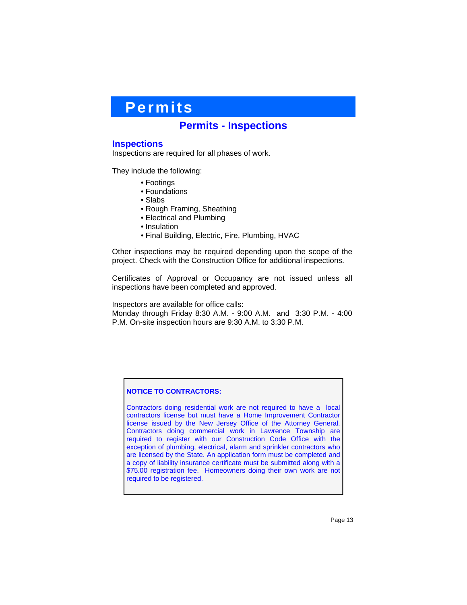# **Permits**

### **Permits - Inspections**

### **Inspections**

Inspections are required for all phases of work.

They include the following:

- Footings
- Foundations
- Slabs
- Rough Framing, Sheathing
- Electrical and Plumbing
- Insulation
- Final Building, Electric, Fire, Plumbing, HVAC

Other inspections may be required depending upon the scope of the project. Check with the Construction Office for additional inspections.

Certificates of Approval or Occupancy are not issued unless all inspections have been completed and approved.

Inspectors are available for office calls:

Monday through Friday 8:30 A.M. - 9:00 A.M. and 3:30 P.M. - 4:00 P.M. On-site inspection hours are 9:30 A.M. to 3:30 P.M.

#### **NOTICE TO CONTRACTORS:**

Contractors doing residential work are not required to have a local contractors license but must have a Home Improvement Contractor license issued by the New Jersey Office of the Attorney General. Contractors doing commercial work in Lawrence Township are required to register with our Construction Code Office with the exception of plumbing, electrical, alarm and sprinkler contractors who are licensed by the State. An application form must be completed and a copy of liability insurance certificate must be submitted along with a \$75.00 registration fee. Homeowners doing their own work are not required to be registered.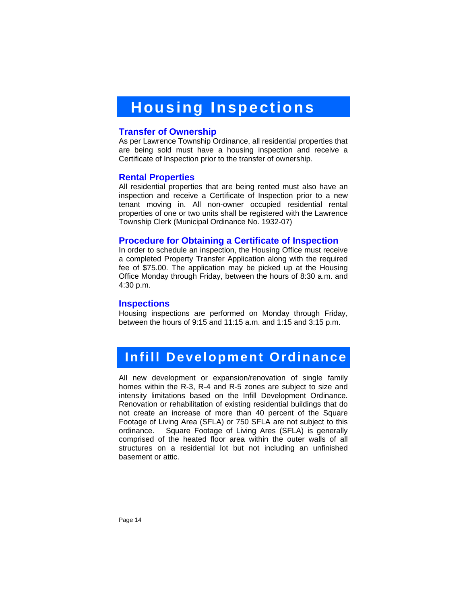# **Housing Inspections**

### **Transfer of Ownership**

As per Lawrence Township Ordinance, all residential properties that are being sold must have a housing inspection and receive a Certificate of Inspection prior to the transfer of ownership.

### **Rental Properties**

All residential properties that are being rented must also have an inspection and receive a Certificate of Inspection prior to a new tenant moving in. All non-owner occupied residential rental properties of one or two units shall be registered with the Lawrence Township Clerk (Municipal Ordinance No. 1932-07)

### **Procedure for Obtaining a Certificate of Inspection**

In order to schedule an inspection, the Housing Office must receive a completed Property Transfer Application along with the required fee of \$75.00. The application may be picked up at the Housing Office Monday through Friday, between the hours of 8:30 a.m. and 4:30 p.m.

#### **Inspections**

Housing inspections are performed on Monday through Friday, between the hours of 9:15 and 11:15 a.m. and 1:15 and 3:15 p.m.

### **Infill Development Ordinance**

All new development or expansion/renovation of single family homes within the R-3, R-4 and R-5 zones are subject to size and intensity limitations based on the Infill Development Ordinance. Renovation or rehabilitation of existing residential buildings that do not create an increase of more than 40 percent of the Square Footage of Living Area (SFLA) or 750 SFLA are not subject to this ordinance. Square Footage of Living Ares (SFLA) is generally comprised of the heated floor area within the outer walls of all structures on a residential lot but not including an unfinished basement or attic.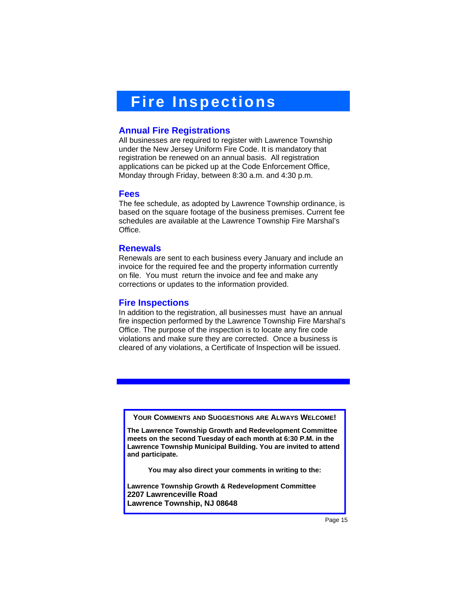# **Fire Inspections**

### **Annual Fire Registrations**

All businesses are required to register with Lawrence Township under the New Jersey Uniform Fire Code. It is mandatory that registration be renewed on an annual basis. All registration applications can be picked up at the Code Enforcement Office, Monday through Friday, between 8:30 a.m. and 4:30 p.m.

#### **Fees**

The fee schedule, as adopted by Lawrence Township ordinance, is based on the square footage of the business premises. Current fee schedules are available at the Lawrence Township Fire Marshal's Office.

### **Renewals**

Renewals are sent to each business every January and include an invoice for the required fee and the property information currently on file. You must return the invoice and fee and make any corrections or updates to the information provided.

### **Fire Inspections**

In addition to the registration, all businesses must have an annual fire inspection performed by the Lawrence Township Fire Marshal's Office. The purpose of the inspection is to locate any fire code violations and make sure they are corrected. Once a business is cleared of any violations, a Certificate of Inspection will be issued.

**YOUR COMMENTS AND SUGGESTIONS ARE ALWAYS WELCOME!**

**The Lawrence Township Growth and Redevelopment Committee meets on the second Tuesday of each month at 6:30 P.M. in the Lawrence Township Municipal Building. You are invited to attend and participate.** 

**You may also direct your comments in writing to the:** 

**Lawrence Township Growth & Redevelopment Committee 2207 Lawrenceville Road Lawrence Township, NJ 08648**